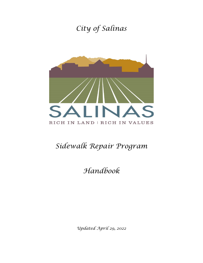## *City of Salinas*



# *Sidewalk Repair Program*

### *Handbook*

*Updated April 29, 2022*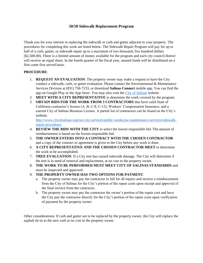### **50/50 Sidewalk Replacement Program**

Thank you for your interest in replacing the sidewalk or curb and gutter adjacent to your property. The procedures for completing this work are listed below. The Sidewalk Repair Program will pay for up to half of a curb, gutter, or sidewalk repair up to a maximum of two thousand, five hundred dollars (\$2,500.00). There is a limited amount of money available for the program and each city council district will receive an equal share. In the fourth quarter of the fiscal year, unused funds will be distributed on a first come first served basis.

#### **PROCEDURE**:

- 1. **REQUEST AN EVALUATION**. The property owner may make a request to have the City conduct a sidewalk, curb, or gutter evaluation. Please contact the Environmental  $\&$  Maintenance Services Division at (831) 758-7233, or download **Salinas Connect** mobile app. You can find the app on Google Play or the App Store. You may also visit the [City of Salinas](https://www.cityofsalinas.org/) website
- 2. **MEET WITH A CITY REPRESENTATIVE** to determine the work covered by the program.
- 3. **OBTAIN BIDS FOR THE WORK FROM 3 CONTRACTORS** that have valid State of Califronia contractor's license (A, B, C-8, C-12), Workers' Compensation Insurance, and a current City of Salinas Business License. A partial list of contractors can be found on the City's website.

[http://www.cityofsalinas.org/our-city-services/public-works/pw-maintenance-services/sidewalk](http://www.cityofsalinas.org/our-city-services/public-works/pw-maintenance-services/sidewalk-repair-procedures)[repair-procedures](http://www.cityofsalinas.org/our-city-services/public-works/pw-maintenance-services/sidewalk-repair-procedures)

- 4. **REVIEW THE BIDS WITH THE CITY** to select the lowest responsible bid. The amount of reimbursement is based on the lowest responsible bid.
- 5. **THE OWNER ENTERS INTO A CONTRACT WITH THE CHOSEN CONTRACTOR** and a copy of the contract or agreement is given to the City before any work is done.
- 6. **A CITY REPRESENTATIVE AND THE CHOSEN CONTRACTOR MEET** to determine the work to be accomplished.
- 7. **TREE EVALUATION**. If a City tree has caused sidewalk damage. The City will determine if the tree is in need of removal and replacement, at no cost to the property owner.
- 8. **THE WORK TO BE PERFORMED MUST MEET CITY OF SALINAS STANDARDS** and must be inspected and approved.
- 9. **THE PROPERTY OWNER HAS TWO OPTIONS FOR PAYMENT**.
	- a. The property owner may pay the contractor in full for all repairs and receive a reimbursement from the City of Salinas for the City's portion of the repair costs upon receipt and approval of the final invoice from the contractor.
	- b. The property owner may pay the contractor the owner's portion of the repair cost and have the City pay the contractor directly for the City's portion of the repair costs upon verification of payment by the property owner.

Other considerations: If curb and gutter are to be replaced by the property owner, the City will replace the asphalt tie-in to the new curb at no cost to the property owner.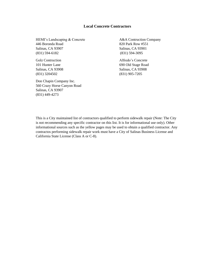HEMI's Landscaping & Concrete A&A Contruction Company 446 Boronda Road 820 Park Row #551 Salinas, CA 93907 Salinas, CA 93901 (831) 594-6182 (831) 594-3095

(831) 3204502 (831) 905-7205

Don Chapin Company Inc. 560 Crazy Horse Canyon Road Salinas, CA 93907 (831) 449-4273

Golz Contruction Alfredo's Concrete 101 Hunter Lane 690 Old Stage Road Salinas, CA 93908 Salinas, CA 93908

This is a City maintained list of contractors qualified to perform sidewalk repair (Note: The City is not recommending any specific contractor on this list. It is for informational use only). Other informational sources such as the yellow pages may be used to obtain a qualified contractor. Any contractos performing sidewalk repair work must have a City of Salinas Business License and California State License (Class A or C-8).